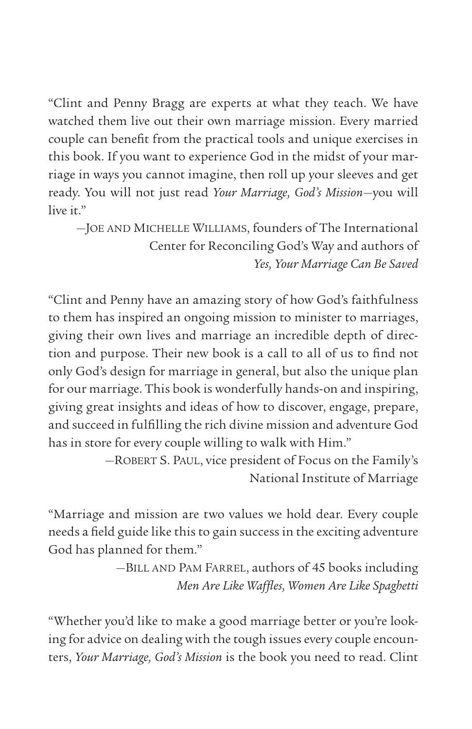"Clint and Penny Bragg are experts at what they teach. We have watched them live out their own marriage mission. Every married couple can benefit from the practical tools and unique exercises in this book. If you want to experience God in the midst of your marriage in ways you cannot imagine, then roll up your sleeves and get ready. You will not just read *Your Marriage, God's Mission*—you will live it."

—Joe and Michelle Williams, founders of The International Center for Reconciling God's Way and authors of *Yes, Your Marriage Can Be Saved*

"Clint and Penny have an amazing story of how God's faithfulness to them has inspired an ongoing mission to minister to marriages, giving their own lives and marriage an incredible depth of direction and purpose. Their new book is a call to all of us to find not only God's design for marriage in general, but also the unique plan for our marriage. This book is wonderfully hands-on and inspiring, giving great insights and ideas of how to discover, engage, prepare, and succeed in fulfilling the rich divine mission and adventure God has in store for every couple willing to walk with Him."

> —Robert S. Paul, vice president of Focus on the Family's National Institute of Marriage

"Marriage and mission are two values we hold dear. Every couple needs a field guide like this to gain success in the exciting adventure God has planned for them."

> —Bill and Pam Farrel, authors of 45 books including *Men Are Like Waffles, Women Are Like Spaghetti*

"Whether you'd like to make a good marriage better or you're looking for advice on dealing with the tough issues every couple encounters, *Your Marriage, God's Mission* is the book you need to read. Clint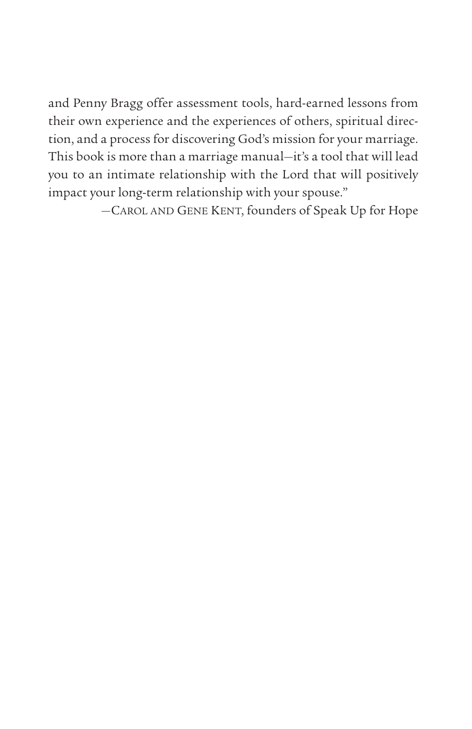and Penny Bragg offer assessment tools, hard-earned lessons from their own experience and the experiences of others, spiritual direction, and a process for discovering God's mission for your marriage. This book is more than a marriage manual—it's a tool that will lead you to an intimate relationship with the Lord that will positively impact your long-term relationship with your spouse."

—Carol and Gene Kent, founders of Speak Up for Hope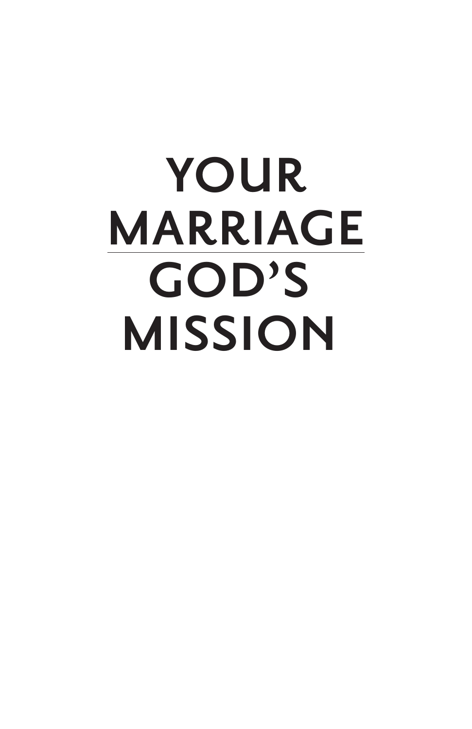## **YOUR MARRIAGE GOD'S MISSION**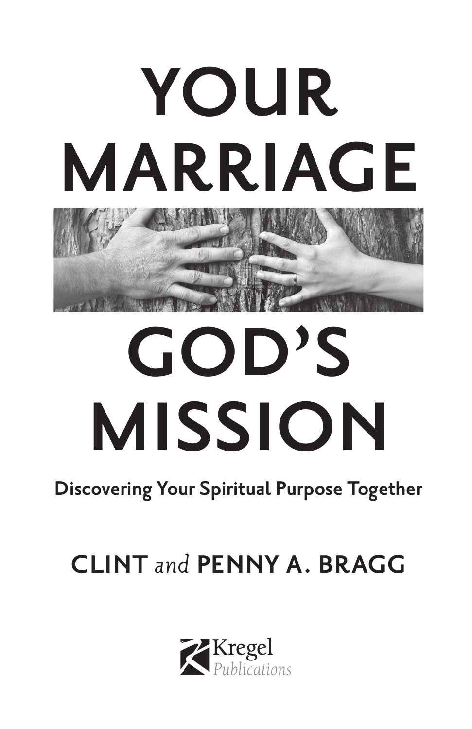# **YOUR MARRIAGE**



# **GOD'S MISSION**

### **Discovering Your Spiritual Purpose Together**

## **CLINT** *and* **PENNY A. BRAGG**

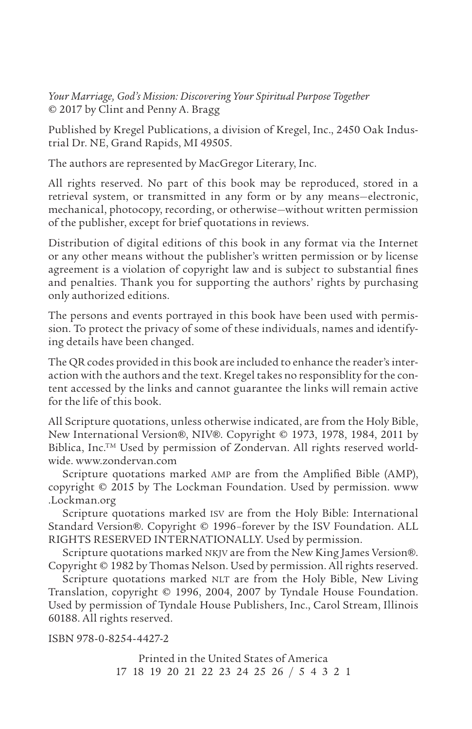*Your Marriage, God's Mission: Discovering Your Spiritual Purpose Together* © 2017 by Clint and Penny A. Bragg

Published by Kregel Publications, a division of Kregel, Inc., 2450 Oak Industrial Dr. NE, Grand Rapids, MI 49505.

The authors are represented by MacGregor Literary, Inc.

All rights reserved. No part of this book may be reproduced, stored in a retrieval system, or transmitted in any form or by any means—electronic, mechanical, photocopy, recording, or otherwise—without written permission of the publisher, except for brief quotations in reviews.

Distribution of digital editions of this book in any format via the Internet or any other means without the publisher's written permission or by license agreement is a violation of copyright law and is subject to substantial fines and penalties. Thank you for supporting the authors' rights by purchasing only authorized editions.

The persons and events portrayed in this book have been used with permission. To protect the privacy of some of these individuals, names and identifying details have been changed.

The QR codes provided in this book are included to enhance the reader's interaction with the authors and the text. Kregel takes no responsiblity for the content accessed by the links and cannot guarantee the links will remain active for the life of this book.

All Scripture quotations, unless otherwise indicated, are from the Holy Bible, New International Version®, NIV®. Copyright © 1973, 1978, 1984, 2011 by Biblica, Inc.<sup>TM</sup> Used by permission of Zondervan. All rights reserved worldwide. www.zondervan.com

Scripture quotations marked amp are from the Amplified Bible (AMP), copyright © 2015 by The Lockman Foundation. Used by permission. www .Lockman.org

Scripture quotations marked isv are from the Holy Bible: International Standard Version®. Copyright © 1996–forever by the ISV Foundation. ALL RIGHTS RESERVED INTERNATIONALLY. Used by permission.

Scripture quotations marked nkjv are from the New King James Version®. Copyright © 1982 by Thomas Nelson. Used by permission. All rights reserved.

Scripture quotations marked NLT are from the Holy Bible, New Living Translation, copyright © 1996, 2004, 2007 by Tyndale House Foundation. Used by permission of Tyndale House Publishers, Inc., Carol Stream, Illinois 60188. All rights reserved.

ISBN 978-0-8254-4427-2

Printed in the United States of America 17 18 19 20 21 22 23 24 25 26 / 5 4 3 2 1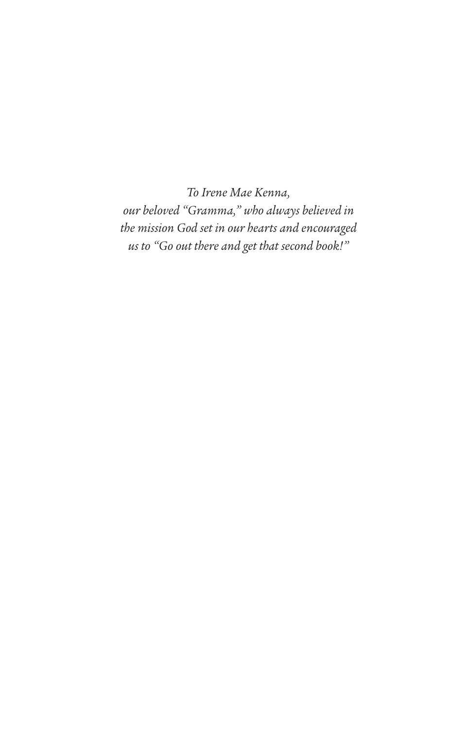*To Irene Mae Kenna, our beloved "Gramma," who always believed in the mission God set in our hearts and encouraged us to "Go out there and get that second book!"*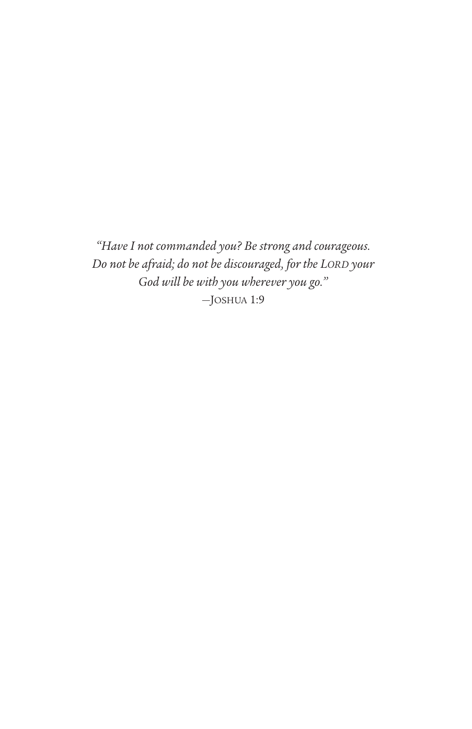*"Have I not commanded you? Be strong and courageous. Do not be afraid; do not be discouraged, for the LORD your God will be with you wherever you go."* —Joshua 1:9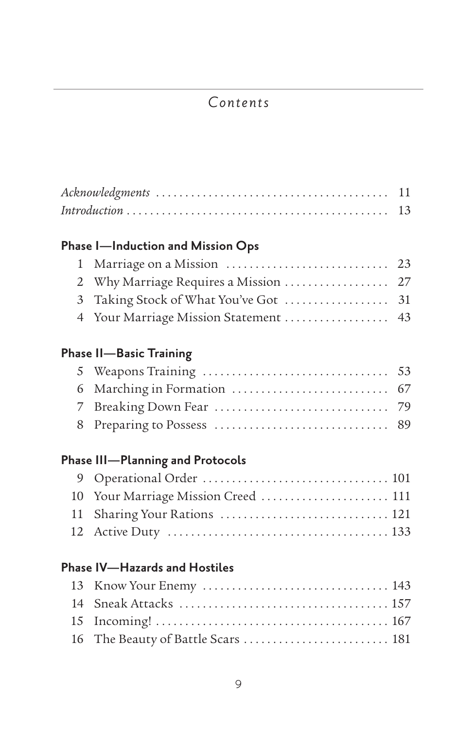#### *Contents*

#### **Phase I—Induction and Mission Ops**

| 4 Your Marriage Mission Statement  43 |  |
|---------------------------------------|--|

#### **Phase II—Basic Training**

#### **Phase III—Planning and Protocols**

| 10 Your Marriage Mission Creed  111 |  |
|-------------------------------------|--|
| 11 Sharing Your Rations  121        |  |
|                                     |  |

#### **Phase IV—Hazards and Hostiles**

| 16 The Beauty of Battle Scars  181 |  |
|------------------------------------|--|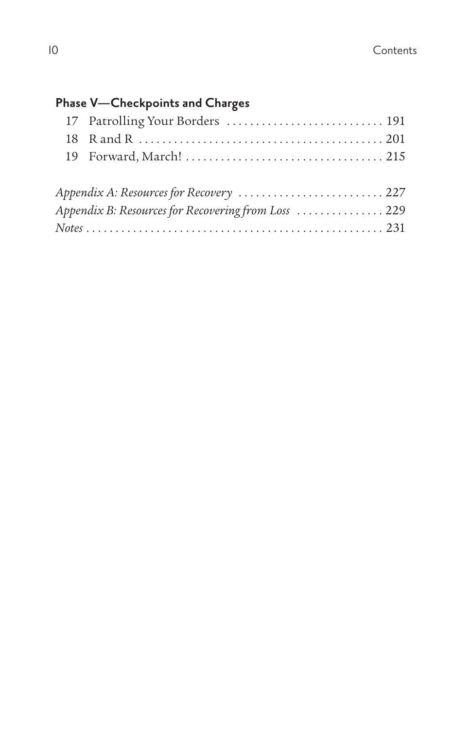#### **Phase V—Checkpoints and Charges**

| 17 Patrolling Your Borders  191                    |  |
|----------------------------------------------------|--|
|                                                    |  |
|                                                    |  |
|                                                    |  |
|                                                    |  |
| Appendix B: Resources for Recovering from Loss 229 |  |
|                                                    |  |
|                                                    |  |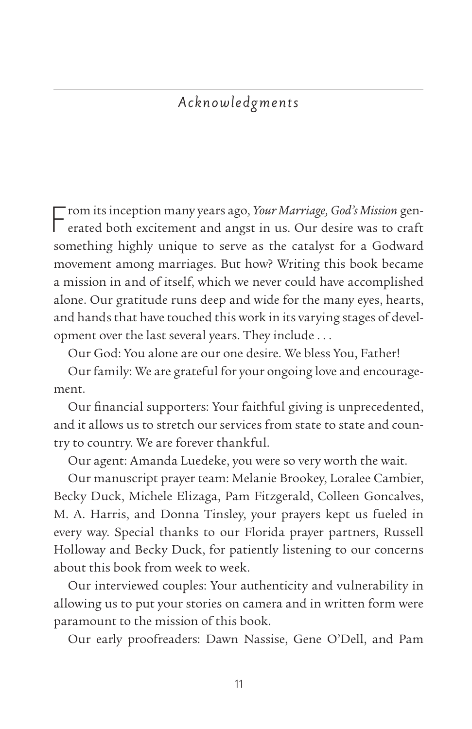#### *Acknowledgments*

From its inception many years ago, *Your Marriage*, *God's Mission* generated both excitement and angst in us. Our desire was to craft rom its inception many years ago, *Your Marriage, God's Mission* gensomething highly unique to serve as the catalyst for a Godward movement among marriages. But how? Writing this book became a mission in and of itself, which we never could have accomplished alone. Our gratitude runs deep and wide for the many eyes, hearts, and hands that have touched this work in its varying stages of development over the last several years. They include . . .

Our God: You alone are our one desire. We bless You, Father!

Our family: We are grateful for your ongoing love and encouragement.

Our financial supporters: Your faithful giving is unprecedented, and it allows us to stretch our services from state to state and country to country. We are forever thankful.

Our agent: Amanda Luedeke, you were so very worth the wait.

Our manuscript prayer team: Melanie Brookey, Loralee Cambier, Becky Duck, Michele Elizaga, Pam Fitzgerald, Colleen Goncalves, M. A. Harris, and Donna Tinsley, your prayers kept us fueled in every way. Special thanks to our Florida prayer partners, Russell Holloway and Becky Duck, for patiently listening to our concerns about this book from week to week.

Our interviewed couples: Your authenticity and vulnerability in allowing us to put your stories on camera and in written form were paramount to the mission of this book.

Our early proofreaders: Dawn Nassise, Gene O'Dell, and Pam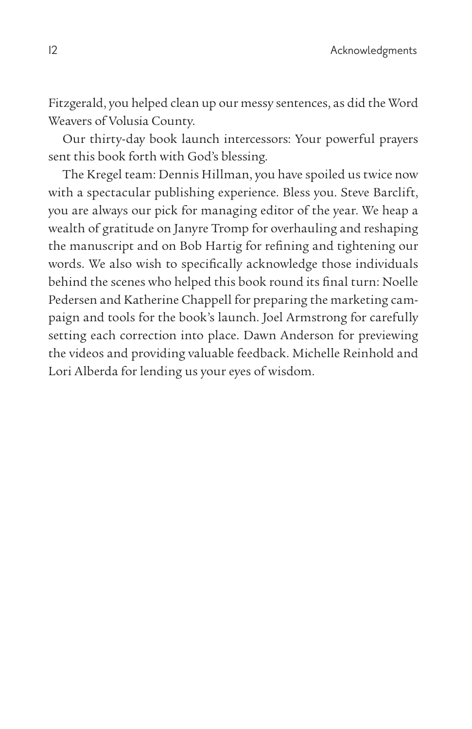Fitzgerald, you helped clean up our messy sentences, as did the Word Weavers of Volusia County.

Our thirty-day book launch intercessors: Your powerful prayers sent this book forth with God's blessing.

The Kregel team: Dennis Hillman, you have spoiled us twice now with a spectacular publishing experience. Bless you. Steve Barclift, you are always our pick for managing editor of the year. We heap a wealth of gratitude on Janyre Tromp for overhauling and reshaping the manuscript and on Bob Hartig for refining and tightening our words. We also wish to specifically acknowledge those individuals behind the scenes who helped this book round its final turn: Noelle Pedersen and Katherine Chappell for preparing the marketing campaign and tools for the book's launch. Joel Armstrong for carefully setting each correction into place. Dawn Anderson for previewing the videos and providing valuable feedback. Michelle Reinhold and Lori Alberda for lending us your eyes of wisdom.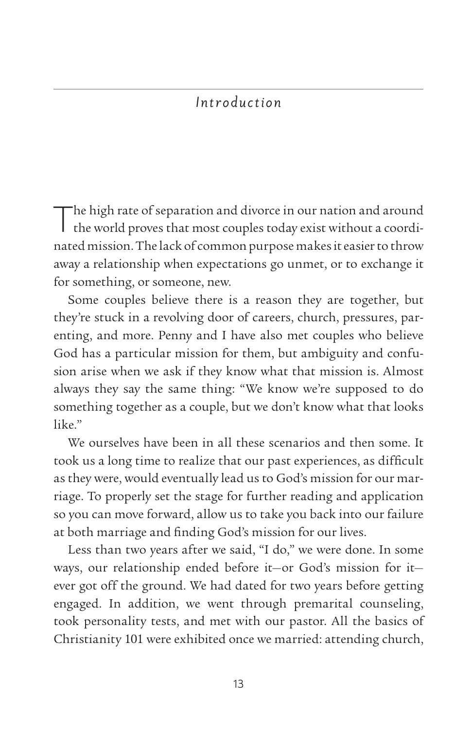#### *Introduction*

 $\Gamma$ he high rate of separation and divorce in our nation and around the world proves that most couples today exist without a coordinated mission. The lack of common purpose makes it easier to throw away a relationship when expectations go unmet, or to exchange it for something, or someone, new.

Some couples believe there is a reason they are together, but they're stuck in a revolving door of careers, church, pressures, parenting, and more. Penny and I have also met couples who believe God has a particular mission for them, but ambiguity and confusion arise when we ask if they know what that mission is. Almost always they say the same thing: "We know we're supposed to do something together as a couple, but we don't know what that looks like."

We ourselves have been in all these scenarios and then some. It took us a long time to realize that our past experiences, as difficult as they were, would eventually lead us to God's mission for our marriage. To properly set the stage for further reading and application so you can move forward, allow us to take you back into our failure at both marriage and finding God's mission for our lives.

Less than two years after we said, "I do," we were done. In some ways, our relationship ended before it—or God's mission for it ever got off the ground. We had dated for two years before getting engaged. In addition, we went through premarital counseling, took personality tests, and met with our pastor. All the basics of Christianity 101 were exhibited once we married: attending church,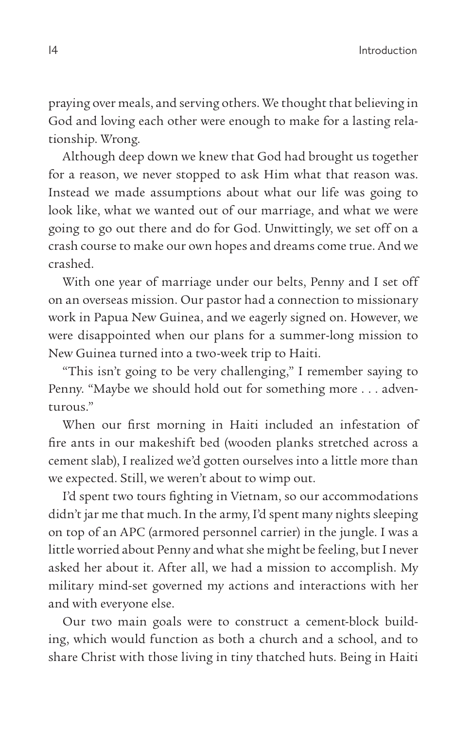praying over meals, and serving others. We thought that believing in God and loving each other were enough to make for a lasting relationship. Wrong.

Although deep down we knew that God had brought us together for a reason, we never stopped to ask Him what that reason was. Instead we made assumptions about what our life was going to look like, what we wanted out of our marriage, and what we were going to go out there and do for God. Unwittingly, we set off on a crash course to make our own hopes and dreams come true. And we crashed.

With one year of marriage under our belts, Penny and I set off on an overseas mission. Our pastor had a connection to missionary work in Papua New Guinea, and we eagerly signed on. However, we were disappointed when our plans for a summer-long mission to New Guinea turned into a two-week trip to Haiti.

"This isn't going to be very challenging," I remember saying to Penny. "Maybe we should hold out for something more . . . adventurous."

When our first morning in Haiti included an infestation of fire ants in our makeshift bed (wooden planks stretched across a cement slab), I realized we'd gotten ourselves into a little more than we expected. Still, we weren't about to wimp out.

I'd spent two tours fighting in Vietnam, so our accommodations didn't jar me that much. In the army, I'd spent many nights sleeping on top of an APC (armored personnel carrier) in the jungle. I was a little worried about Penny and what she might be feeling, but I never asked her about it. After all, we had a mission to accomplish. My military mind-set governed my actions and interactions with her and with everyone else.

Our two main goals were to construct a cement-block building, which would function as both a church and a school, and to share Christ with those living in tiny thatched huts. Being in Haiti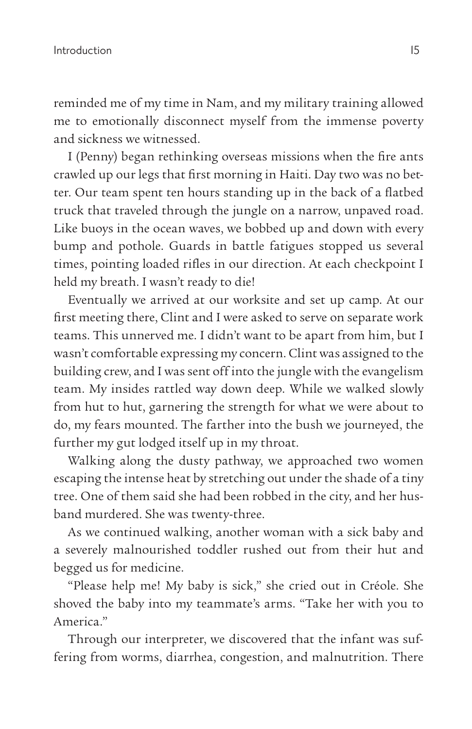reminded me of my time in Nam, and my military training allowed me to emotionally disconnect myself from the immense poverty and sickness we witnessed.

I (Penny) began rethinking overseas missions when the fire ants crawled up our legs that first morning in Haiti. Day two was no better. Our team spent ten hours standing up in the back of a flatbed truck that traveled through the jungle on a narrow, unpaved road. Like buoys in the ocean waves, we bobbed up and down with every bump and pothole. Guards in battle fatigues stopped us several times, pointing loaded rifles in our direction. At each checkpoint I held my breath. I wasn't ready to die!

Eventually we arrived at our worksite and set up camp. At our first meeting there, Clint and I were asked to serve on separate work teams. This unnerved me. I didn't want to be apart from him, but I wasn't comfortable expressing my concern. Clint was assigned to the building crew, and I was sent off into the jungle with the evangelism team. My insides rattled way down deep. While we walked slowly from hut to hut, garnering the strength for what we were about to do, my fears mounted. The farther into the bush we journeyed, the further my gut lodged itself up in my throat.

Walking along the dusty pathway, we approached two women escaping the intense heat by stretching out under the shade of a tiny tree. One of them said she had been robbed in the city, and her husband murdered. She was twenty-three.

As we continued walking, another woman with a sick baby and a severely malnourished toddler rushed out from their hut and begged us for medicine.

"Please help me! My baby is sick," she cried out in Créole. She shoved the baby into my teammate's arms. "Take her with you to America."

Through our interpreter, we discovered that the infant was suffering from worms, diarrhea, congestion, and malnutrition. There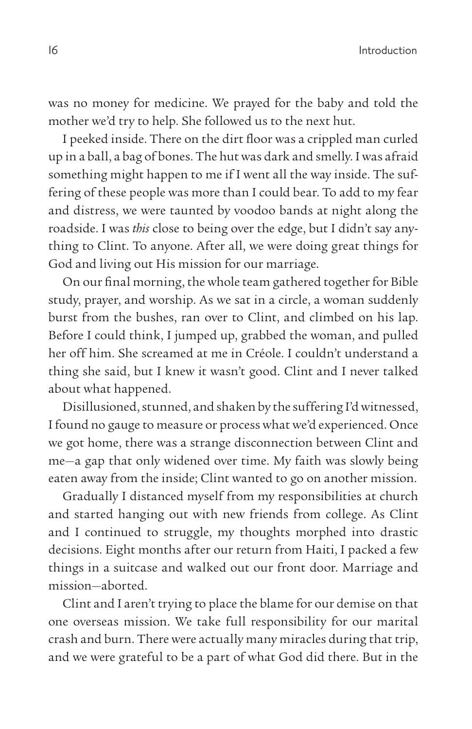16 Introduction

was no money for medicine. We prayed for the baby and told the mother we'd try to help. She followed us to the next hut.

I peeked inside. There on the dirt floor was a crippled man curled up in a ball, a bag of bones. The hut was dark and smelly. I was afraid something might happen to me if I went all the way inside. The suffering of these people was more than I could bear. To add to my fear and distress, we were taunted by voodoo bands at night along the roadside. I was *this* close to being over the edge, but I didn't say anything to Clint. To anyone. After all, we were doing great things for God and living out His mission for our marriage.

On our final morning, the whole team gathered together for Bible study, prayer, and worship. As we sat in a circle, a woman suddenly burst from the bushes, ran over to Clint, and climbed on his lap. Before I could think, I jumped up, grabbed the woman, and pulled her off him. She screamed at me in Créole. I couldn't understand a thing she said, but I knew it wasn't good. Clint and I never talked about what happened.

Disillusioned, stunned, and shaken by the suffering I'd witnessed, I found no gauge to measure or process what we'd experienced. Once we got home, there was a strange disconnection between Clint and me—a gap that only widened over time. My faith was slowly being eaten away from the inside; Clint wanted to go on another mission.

Gradually I distanced myself from my responsibilities at church and started hanging out with new friends from college. As Clint and I continued to struggle, my thoughts morphed into drastic decisions. Eight months after our return from Haiti, I packed a few things in a suitcase and walked out our front door. Marriage and mission—aborted.

Clint and I aren't trying to place the blame for our demise on that one overseas mission. We take full responsibility for our marital crash and burn. There were actually many miracles during that trip, and we were grateful to be a part of what God did there. But in the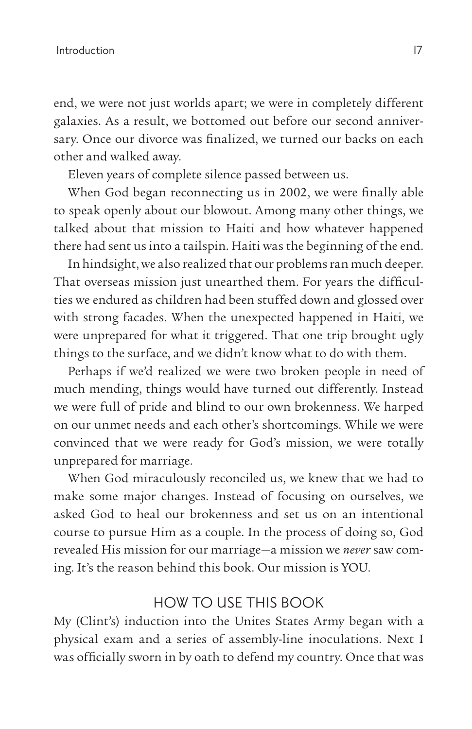end, we were not just worlds apart; we were in completely different galaxies. As a result, we bottomed out before our second anniversary. Once our divorce was finalized, we turned our backs on each other and walked away.

Eleven years of complete silence passed between us.

When God began reconnecting us in 2002, we were finally able to speak openly about our blowout. Among many other things, we talked about that mission to Haiti and how whatever happened there had sent us into a tailspin. Haiti was the beginning of the end.

In hindsight, we also realized that our problems ran much deeper. That overseas mission just unearthed them. For years the difficulties we endured as children had been stuffed down and glossed over with strong facades. When the unexpected happened in Haiti, we were unprepared for what it triggered. That one trip brought ugly things to the surface, and we didn't know what to do with them.

Perhaps if we'd realized we were two broken people in need of much mending, things would have turned out differently. Instead we were full of pride and blind to our own brokenness. We harped on our unmet needs and each other's shortcomings. While we were convinced that we were ready for God's mission, we were totally unprepared for marriage.

When God miraculously reconciled us, we knew that we had to make some major changes. Instead of focusing on ourselves, we asked God to heal our brokenness and set us on an intentional course to pursue Him as a couple. In the process of doing so, God revealed His mission for our marriage—a mission we *never* saw coming. It's the reason behind this book. Our mission is YOU.

#### HOW TO USE THIS BOOK

My (Clint's) induction into the Unites States Army began with a physical exam and a series of assembly-line inoculations. Next I was officially sworn in by oath to defend my country. Once that was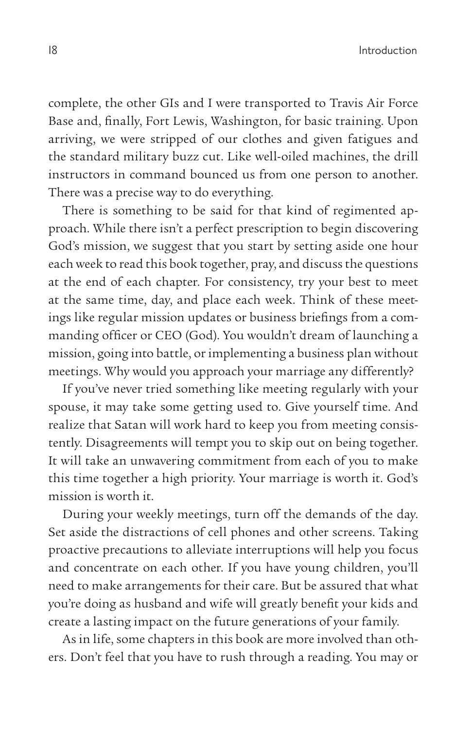18 Introduction and the contract of the contract of the contract of the contract of the contract of the contract of the contract of the contract of the contract of the contract of the contract of the contract of the contra

complete, the other GIs and I were transported to Travis Air Force Base and, finally, Fort Lewis, Washington, for basic training. Upon arriving, we were stripped of our clothes and given fatigues and the standard military buzz cut. Like well-oiled machines, the drill instructors in command bounced us from one person to another. There was a precise way to do everything.

There is something to be said for that kind of regimented approach. While there isn't a perfect prescription to begin discovering God's mission, we suggest that you start by setting aside one hour each week to read this book together, pray, and discuss the questions at the end of each chapter. For consistency, try your best to meet at the same time, day, and place each week. Think of these meetings like regular mission updates or business briefings from a commanding officer or CEO (God). You wouldn't dream of launching a mission, going into battle, or implementing a business plan without meetings. Why would you approach your marriage any differently?

If you've never tried something like meeting regularly with your spouse, it may take some getting used to. Give yourself time. And realize that Satan will work hard to keep you from meeting consistently. Disagreements will tempt you to skip out on being together. It will take an unwavering commitment from each of you to make this time together a high priority. Your marriage is worth it. God's mission is worth it.

During your weekly meetings, turn off the demands of the day. Set aside the distractions of cell phones and other screens. Taking proactive precautions to alleviate interruptions will help you focus and concentrate on each other. If you have young children, you'll need to make arrangements for their care. But be assured that what you're doing as husband and wife will greatly benefit your kids and create a lasting impact on the future generations of your family.

As in life, some chapters in this book are more involved than others. Don't feel that you have to rush through a reading. You may or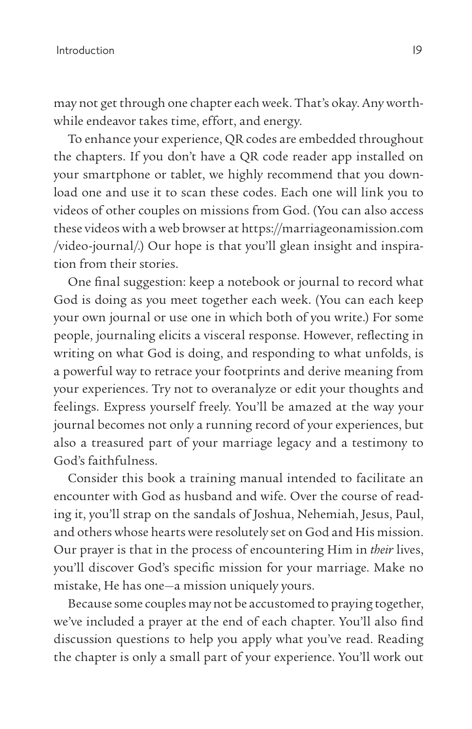may not get through one chapter each week. That's okay. Any worthwhile endeavor takes time, effort, and energy.

To enhance your experience, QR codes are embedded throughout the chapters. If you don't have a QR code reader app installed on your smartphone or tablet, we highly recommend that you download one and use it to scan these codes. Each one will link you to videos of other couples on missions from God. (You can also access these videos with a web browser at https://marriageonamission.com /video-journal/.) Our hope is that you'll glean insight and inspiration from their stories.

One final suggestion: keep a notebook or journal to record what God is doing as you meet together each week. (You can each keep your own journal or use one in which both of you write.) For some people, journaling elicits a visceral response. However, reflecting in writing on what God is doing, and responding to what unfolds, is a powerful way to retrace your footprints and derive meaning from your experiences. Try not to overanalyze or edit your thoughts and feelings. Express yourself freely. You'll be amazed at the way your journal becomes not only a running record of your experiences, but also a treasured part of your marriage legacy and a testimony to God's faithfulness.

Consider this book a training manual intended to facilitate an encounter with God as husband and wife. Over the course of reading it, you'll strap on the sandals of Joshua, Nehemiah, Jesus, Paul, and others whose hearts were resolutely set on God and His mission. Our prayer is that in the process of encountering Him in *their* lives, you'll discover God's specific mission for your marriage. Make no mistake, He has one—a mission uniquely yours.

Because some couples may not be accustomed to praying together, we've included a prayer at the end of each chapter. You'll also find discussion questions to help you apply what you've read. Reading the chapter is only a small part of your experience. You'll work out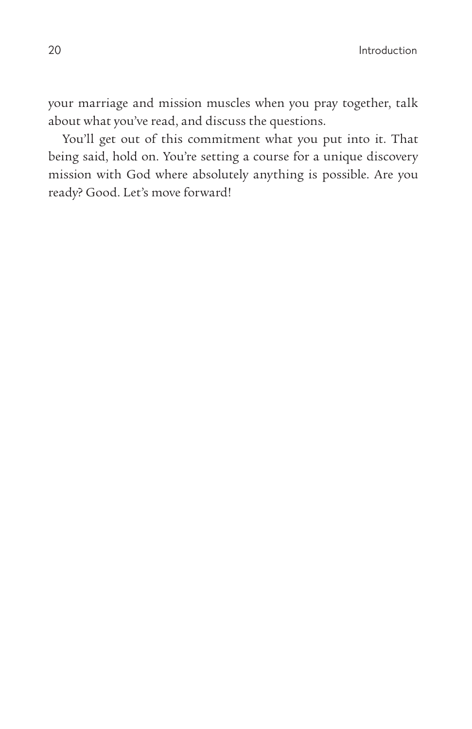your marriage and mission muscles when you pray together, talk about what you've read, and discuss the questions.

You'll get out of this commitment what you put into it. That being said, hold on. You're setting a course for a unique discovery mission with God where absolutely anything is possible. Are you ready? Good. Let's move forward!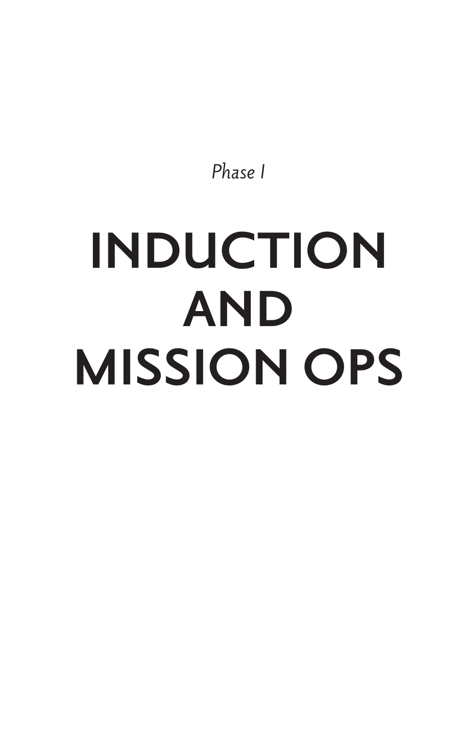*Phase I*

# **INDUCTION AND MISSION OPS**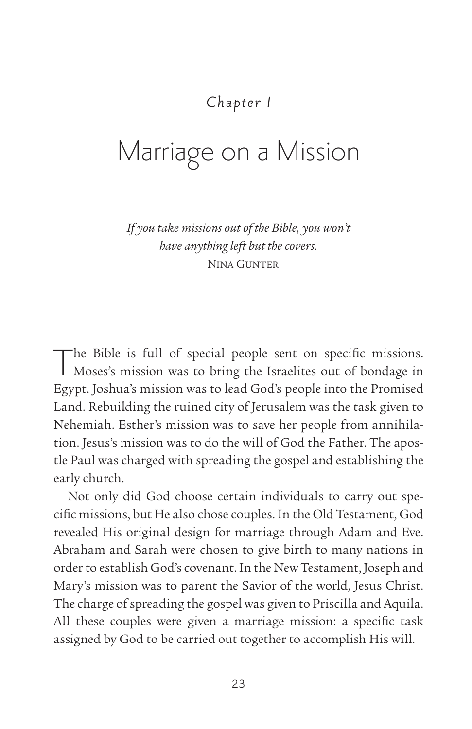#### *Chapter 1*

## Marriage on a Mission

*If you take missions out of the Bible, you won't have anything left but the covers.* —Nina Gunter

The Bible is full of special people sent on specific missions. Moses's mission was to bring the Israelites out of bondage in Egypt. Joshua's mission was to lead God's people into the Promised Land. Rebuilding the ruined city of Jerusalem was the task given to Nehemiah. Esther's mission was to save her people from annihilation. Jesus's mission was to do the will of God the Father. The apostle Paul was charged with spreading the gospel and establishing the early church.

Not only did God choose certain individuals to carry out specific missions, but He also chose couples. In the Old Testament, God revealed His original design for marriage through Adam and Eve. Abraham and Sarah were chosen to give birth to many nations in order to establish God's covenant. In the New Testament, Joseph and Mary's mission was to parent the Savior of the world, Jesus Christ. The charge of spreading the gospel was given to Priscilla and Aquila. All these couples were given a marriage mission: a specific task assigned by God to be carried out together to accomplish His will.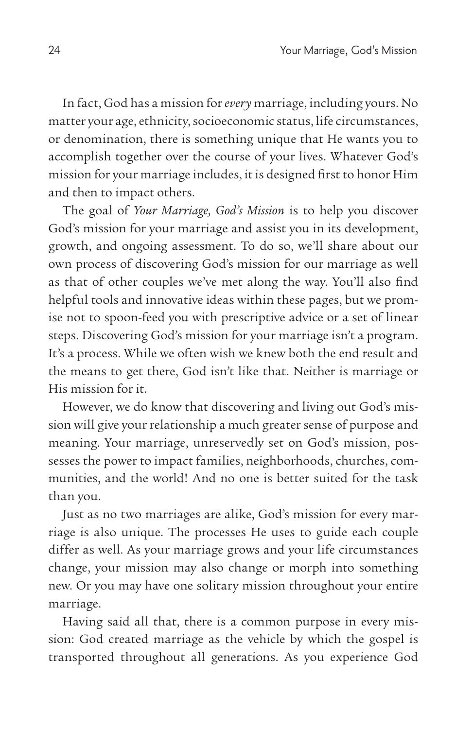In fact, God has a mission for *every* marriage, including yours. No matter your age, ethnicity, socioeconomic status, life circumstances, or denomination, there is something unique that He wants you to accomplish together over the course of your lives. Whatever God's mission for your marriage includes, it is designed first to honor Him and then to impact others.

The goal of *Your Marriage, God's Mission* is to help you discover God's mission for your marriage and assist you in its development, growth, and ongoing assessment. To do so, we'll share about our own process of discovering God's mission for our marriage as well as that of other couples we've met along the way. You'll also find helpful tools and innovative ideas within these pages, but we promise not to spoon-feed you with prescriptive advice or a set of linear steps. Discovering God's mission for your marriage isn't a program. It's a process. While we often wish we knew both the end result and the means to get there, God isn't like that. Neither is marriage or His mission for it.

However, we do know that discovering and living out God's mission will give your relationship a much greater sense of purpose and meaning. Your marriage, unreservedly set on God's mission, possesses the power to impact families, neighborhoods, churches, communities, and the world! And no one is better suited for the task than you.

Just as no two marriages are alike, God's mission for every marriage is also unique. The processes He uses to guide each couple differ as well. As your marriage grows and your life circumstances change, your mission may also change or morph into something new. Or you may have one solitary mission throughout your entire marriage.

Having said all that, there is a common purpose in every mission: God created marriage as the vehicle by which the gospel is transported throughout all generations. As you experience God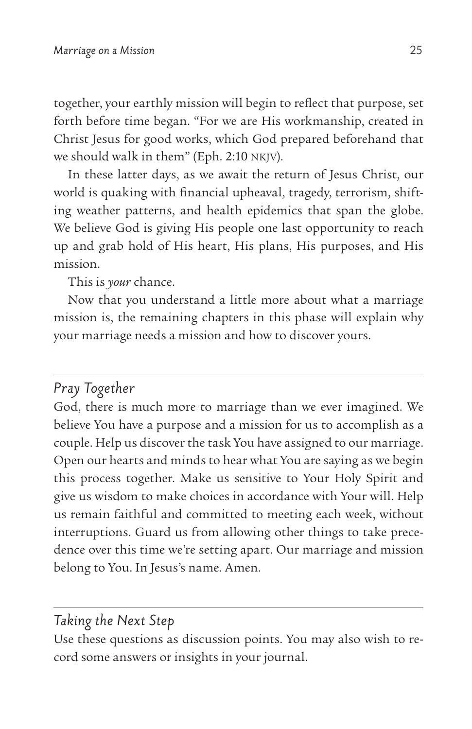together, your earthly mission will begin to reflect that purpose, set forth before time began. "For we are His workmanship, created in Christ Jesus for good works, which God prepared beforehand that we should walk in them" (Eph. 2:10 nkjv).

In these latter days, as we await the return of Jesus Christ, our world is quaking with financial upheaval, tragedy, terrorism, shifting weather patterns, and health epidemics that span the globe. We believe God is giving His people one last opportunity to reach up and grab hold of His heart, His plans, His purposes, and His mission.

This is *your* chance.

Now that you understand a little more about what a marriage mission is, the remaining chapters in this phase will explain why your marriage needs a mission and how to discover yours.

#### *Pray Together*

God, there is much more to marriage than we ever imagined. We believe You have a purpose and a mission for us to accomplish as a couple. Help us discover the task You have assigned to our marriage. Open our hearts and minds to hear what You are saying as we begin this process together. Make us sensitive to Your Holy Spirit and give us wisdom to make choices in accordance with Your will. Help us remain faithful and committed to meeting each week, without interruptions. Guard us from allowing other things to take precedence over this time we're setting apart. Our marriage and mission belong to You. In Jesus's name. Amen.

#### *Taking the Next Step*

Use these questions as discussion points. You may also wish to record some answers or insights in your journal.